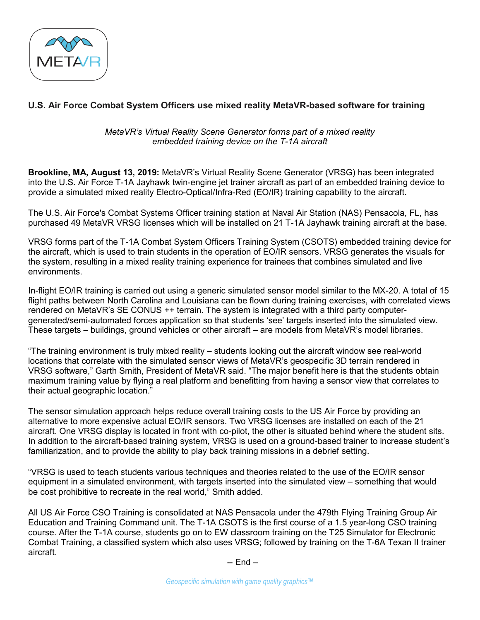

## **U.S. Air Force Combat System Officers use mixed reality MetaVR-based software for training**

*MetaVR's Virtual Reality Scene Generator forms part of a mixed reality embedded training device on the T-1A aircraft*

**Brookline, MA, August 13, 2019:** MetaVR's Virtual Reality Scene Generator (VRSG) has been integrated into the U.S. Air Force T-1A Jayhawk twin-engine jet trainer aircraft as part of an embedded training device to provide a simulated mixed reality Electro-Optical/Infra-Red (EO/IR) training capability to the aircraft.

The U.S. Air Force's Combat Systems Officer training station at Naval Air Station (NAS) Pensacola, FL, has purchased 49 MetaVR VRSG licenses which will be installed on 21 T-1A Jayhawk training aircraft at the base.

VRSG forms part of the T-1A Combat System Officers Training System (CSOTS) embedded training device for the aircraft, which is used to train students in the operation of EO/IR sensors. VRSG generates the visuals for the system, resulting in a mixed reality training experience for trainees that combines simulated and live environments.

In-flight EO/IR training is carried out using a generic simulated sensor model similar to the MX-20. A total of 15 flight paths between North Carolina and Louisiana can be flown during training exercises, with correlated views rendered on MetaVR's SE CONUS ++ terrain. The system is integrated with a third party computergenerated/semi-automated forces application so that students 'see' targets inserted into the simulated view. These targets – buildings, ground vehicles or other aircraft – are models from MetaVR's model libraries.

"The training environment is truly mixed reality – students looking out the aircraft window see real-world locations that correlate with the simulated sensor views of MetaVR's geospecific 3D terrain rendered in VRSG software," Garth Smith, President of MetaVR said. "The major benefit here is that the students obtain maximum training value by flying a real platform and benefitting from having a sensor view that correlates to their actual geographic location."

The sensor simulation approach helps reduce overall training costs to the US Air Force by providing an alternative to more expensive actual EO/IR sensors. Two VRSG licenses are installed on each of the 21 aircraft. One VRSG display is located in front with co-pilot, the other is situated behind where the student sits. In addition to the aircraft-based training system, VRSG is used on a ground-based trainer to increase student's familiarization, and to provide the ability to play back training missions in a debrief setting.

"VRSG is used to teach students various techniques and theories related to the use of the EO/IR sensor equipment in a simulated environment, with targets inserted into the simulated view – something that would be cost prohibitive to recreate in the real world," Smith added.

All US Air Force CSO Training is consolidated at NAS Pensacola under the 479th Flying Training Group Air Education and Training Command unit. The T-1A CSOTS is the first course of a 1.5 year-long CSO training course. After the T-1A course, students go on to EW classroom training on the T25 Simulator for Electronic Combat Training, a classified system which also uses VRSG; followed by training on the T-6A Texan II trainer aircraft.

-- End –